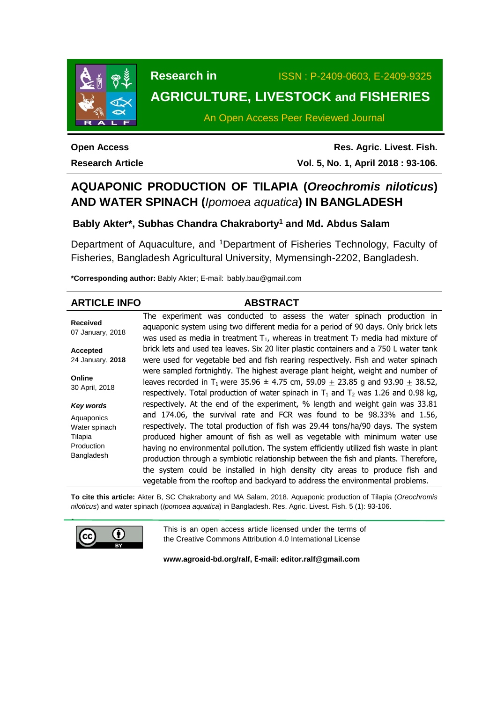

# **Research in** ISSN : P-2409-0603, E-2409-9325 **AGRICULTURE, LIVESTOCK and FISHERIES**

An Open Access Peer Reviewed Journal

**Open Access Research Article**

**Res. Agric. Livest. Fish. Vol. 5, No. 1, April 2018 : 93-106.**

# **AQUAPONIC PRODUCTION OF TILAPIA (***Oreochromis niloticus***) AND WATER SPINACH (***Ipomoea aquatica***) IN BANGLADESH**

## **Bably Akter\*, Subhas Chandra Chakraborty<sup>1</sup> and Md. Abdus Salam**

Department of Aquaculture, and <sup>1</sup>Department of Fisheries Technology, Faculty of Fisheries, Bangladesh Agricultural University, Mymensingh-2202, Bangladesh.

**\*Corresponding author:** Bably Akter; E-mail: [bably.bau@gmail.com](mailto:bably.bau@gmail.com)

| <b>ARTICLE INFO</b>                                                | <b>ABSTRACT</b>                                                                                                                                                                                                                                                                                                                                                                                                                                                                                                                                                                             |  |  |  |  |  |
|--------------------------------------------------------------------|---------------------------------------------------------------------------------------------------------------------------------------------------------------------------------------------------------------------------------------------------------------------------------------------------------------------------------------------------------------------------------------------------------------------------------------------------------------------------------------------------------------------------------------------------------------------------------------------|--|--|--|--|--|
| <b>Received</b><br>07 January, 2018                                | The experiment was conducted to assess the water spinach production in<br>aquaponic system using two different media for a period of 90 days. Only brick lets<br>was used as media in treatment $T_1$ , whereas in treatment $T_2$ media had mixture of                                                                                                                                                                                                                                                                                                                                     |  |  |  |  |  |
| Accepted                                                           | brick lets and used tea leaves. Six 20 liter plastic containers and a 750 L water tank                                                                                                                                                                                                                                                                                                                                                                                                                                                                                                      |  |  |  |  |  |
| 24 January, 2018                                                   | were used for vegetable bed and fish rearing respectively. Fish and water spinach                                                                                                                                                                                                                                                                                                                                                                                                                                                                                                           |  |  |  |  |  |
| Online<br>30 April, 2018                                           | were sampled fortnightly. The highest average plant height, weight and number of<br>leaves recorded in T <sub>1</sub> were 35.96 $\pm$ 4.75 cm, 59.09 $\pm$ 23.85 g and 93.90 $\pm$ 38.52,<br>respectively. Total production of water spinach in $T_1$ and $T_2$ was 1.26 and 0.98 kg,                                                                                                                                                                                                                                                                                                      |  |  |  |  |  |
| Key words                                                          | respectively. At the end of the experiment, % length and weight gain was 33.81                                                                                                                                                                                                                                                                                                                                                                                                                                                                                                              |  |  |  |  |  |
| Aquaponics<br>Water spinach<br>Tilapia<br>Production<br>Bangladesh | and 174.06, the survival rate and FCR was found to be 98.33% and 1.56,<br>respectively. The total production of fish was 29.44 tons/ha/90 days. The system<br>produced higher amount of fish as well as vegetable with minimum water use<br>having no environmental pollution. The system efficiently utilized fish waste in plant<br>production through a symbiotic relationship between the fish and plants. Therefore,<br>the system could be installed in high density city areas to produce fish and<br>vegetable from the rooftop and backyard to address the environmental problems. |  |  |  |  |  |

**To cite this article:** Akter B, SC Chakraborty and MA Salam, 2018. Aquaponic production of Tilapia (*Oreochromis niloticus*) and water spinach (*Ipomoea aquatica*) in Bangladesh. Res. Agric. Livest. Fish. 5 (1): 93-106.



This is an open access article licensed under the terms of the Creative Commons Attribution 4.0 International License

**[www.agroaid-bd.org/ralf,](http://www.agroaid-bd.org/ralf) E-mail: [editor.ralf@gmail.com](mailto:editor.ralf@gmail.com)**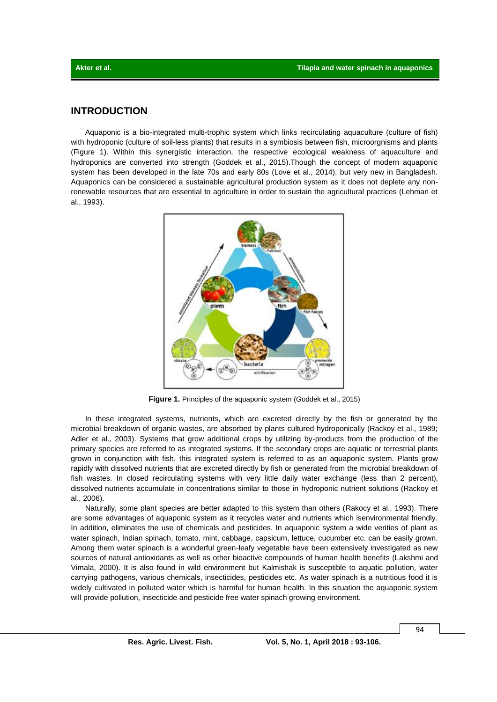## **INTRODUCTION**

Aquaponic is a bio-integrated multi-trophic system which links recirculating aquaculture (culture of fish) with hydroponic (culture of soil-less plants) that results in a symbiosis between fish, microorgnisms and plants (Figure 1). Within this synergistic interaction, the respective ecological weakness of aquaculture and hydroponics are converted into strength (Goddek et al., 2015).Though the concept of modern aquaponic system has been developed in the late 70s and early 80s (Love et al., 2014), but very new in Bangladesh. Aquaponics can be considered a sustainable agricultural production system as it does not deplete any nonrenewable resources that are essential to agriculture in order to sustain the agricultural practices (Lehman et al., 1993).



**Figure 1.** Principles of the aquaponic system (Goddek et al., 2015)

In these integrated systems, nutrients, which are excreted directly by the fish or generated by the microbial breakdown of organic wastes, are absorbed by plants cultured hydroponically (Rackoy et al., 1989; Adler et al., 2003). Systems that grow additional crops by utilizing by-products from the production of the primary species are referred to as integrated systems. If the secondary crops are aquatic or terrestrial plants grown in conjunction with fish, this integrated system is referred to as an aquaponic system. Plants grow rapidly with dissolved nutrients that are excreted directly by fish or generated from the microbial breakdown of fish wastes. In closed recirculating systems with very little daily water exchange (less than 2 percent), dissolved nutrients accumulate in concentrations similar to those in hydroponic nutrient solutions (Rackoy et al., 2006).

Naturally, some plant species are better adapted to this system than others (Rakocy et al., 1993). There are some advantages of aquaponic system as it recycles water and nutrients which isenvironmental friendly. In addition, eliminates the use of chemicals and pesticides. In aquaponic system a wide verities of plant as water spinach, Indian spinach, tomato, mint, cabbage, capsicum, lettuce, cucumber etc. can be easily grown. Among them water spinach is a wonderful green-leafy vegetable have been extensively investigated as new sources of natural antioxidants as well as other bioactive compounds of human health benefits (Lakshmi and Vimala, 2000). It is also found in wild environment but Kalmishak is susceptible to aquatic pollution, water carrying pathogens, various chemicals, insecticides, pesticides etc. As water spinach is a nutritious food it is widely cultivated in polluted water which is harmful for human health. In this situation the aquaponic system will provide pollution, insecticide and pesticide free water spinach growing environment.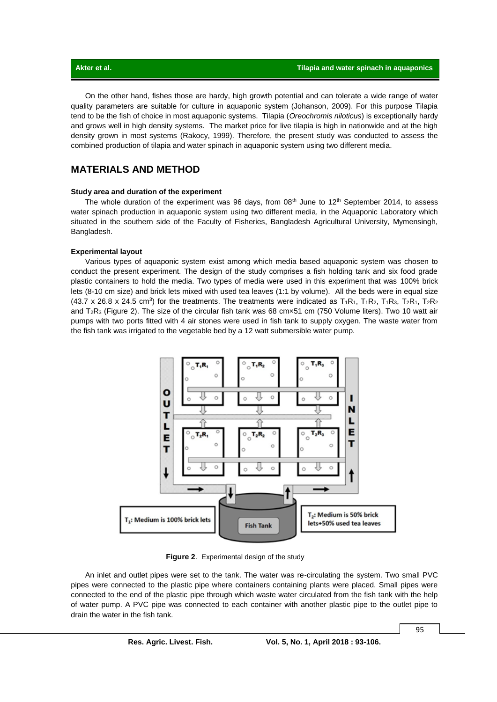On the other hand, fishes those are hardy, high growth potential and can tolerate a wide range of water quality parameters are suitable for culture in aquaponic system (Johanson, 2009). For this purpose Tilapia tend to be the fish of choice in most aquaponic systems. Tilapia (*Oreochromis niloticus*) is exceptionally hardy and grows well in high density systems. The market price for live tilapia is high in nationwide and at the high density grown in most systems (Rakocy, 1999). Therefore, the present study was conducted to assess the combined production of tilapia and water spinach in aquaponic system using two different media.

## **MATERIALS AND METHOD**

#### **Study area and duration of the experiment**

The whole duration of the experiment was 96 days, from  $08<sup>th</sup>$  June to  $12<sup>th</sup>$  September 2014, to assess water spinach production in aquaponic system using two different media, in the Aquaponic Laboratory which situated in the southern side of the Faculty of Fisheries, Bangladesh Agricultural University, Mymensingh, Bangladesh.

#### **Experimental layout**

Various types of aquaponic system exist among which media based aquaponic system was chosen to conduct the present experiment. The design of the study comprises a fish holding tank and six food grade plastic containers to hold the media. Two types of media were used in this experiment that was 100% brick lets (8-10 cm size) and brick lets mixed with used tea leaves (1:1 by volume). All the beds were in equal size (43.7 x 26.8 x 24.5 cm<sup>3</sup>) for the treatments. The treatments were indicated as  $T_1R_1$ ,  $T_1R_2$ ,  $T_1R_3$ ,  $T_2R_1$ ,  $T_2R_2$ and T2R<sup>3</sup> (Figure 2). The size of the circular fish tank was 68 cm×51 cm (750 Volume liters). Two 10 watt air pumps with two ports fitted with 4 air stones were used in fish tank to supply oxygen. The waste water from the fish tank was irrigated to the vegetable bed by a 12 watt submersible water pump.



**Figure 2**. Experimental design of the study

An inlet and outlet pipes were set to the tank. The water was re-circulating the system. Two small PVC pipes were connected to the plastic pipe where containers containing plants were placed. Small pipes were connected to the end of the plastic pipe through which waste water circulated from the fish tank with the help of water pump. A PVC pipe was connected to each container with another plastic pipe to the outlet pipe to drain the water in the fish tank.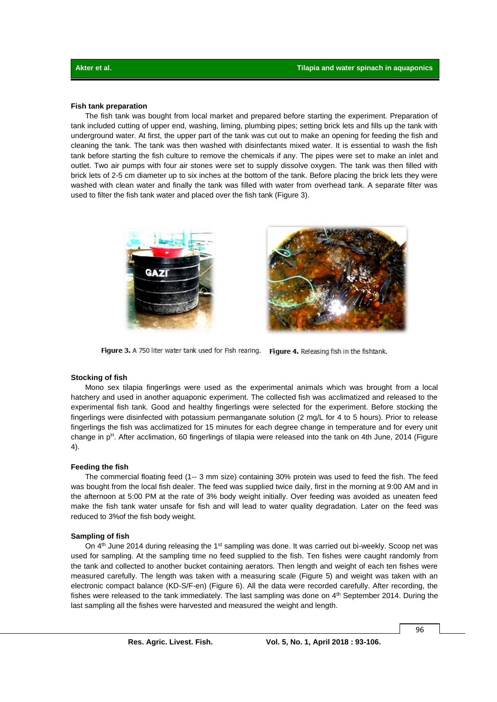#### **Fish tank preparation**

The fish tank was bought from local market and prepared before starting the experiment. Preparation of tank included cutting of upper end, washing, liming, plumbing pipes; setting brick lets and fills up the tank with underground water. At first, the upper part of the tank was cut out to make an opening for feeding the fish and cleaning the tank. The tank was then washed with disinfectants mixed water. It is essential to wash the fish tank before starting the fish culture to remove the chemicals if any. The pipes were set to make an inlet and outlet. Two air pumps with four air stones were set to supply dissolve oxygen. The tank was then filled with brick lets of 2-5 cm diameter up to six inches at the bottom of the tank. Before placing the brick lets they were washed with clean water and finally the tank was filled with water from overhead tank. A separate filter was used to filter the fish tank water and placed over the fish tank (Figure 3).



Figure 3. A 750 liter water tank used for Fish rearing. Figure 4. Releasing fish in the fishtank.

#### **Stocking of fish**

Mono sex tilapia fingerlings were used as the experimental animals which was brought from a local hatchery and used in another aquaponic experiment. The collected fish was acclimatized and released to the experimental fish tank. Good and healthy fingerlings were selected for the experiment. Before stocking the fingerlings were disinfected with potassium permanganate solution (2 mg/L for 4 to 5 hours). Prior to release fingerlings the fish was acclimatized for 15 minutes for each degree change in temperature and for every unit change in p<sup>H</sup>. After acclimation, 60 fingerlings of tilapia were released into the tank on 4th June, 2014 (Figure 4).

#### **Feeding the fish**

The commercial floating feed (1-- 3 mm size) containing 30% protein was used to feed the fish. The feed was bought from the local fish dealer. The feed was supplied twice daily, first in the morning at 9:00 AM and in the afternoon at 5:00 PM at the rate of 3% body weight initially. Over feeding was avoided as uneaten feed make the fish tank water unsafe for fish and will lead to water quality degradation. Later on the feed was reduced to 3%of the fish body weight.

#### **Sampling of fish**

On 4<sup>th</sup> June 2014 during releasing the 1<sup>st</sup> sampling was done. It was carried out bi-weekly. Scoop net was used for sampling. At the sampling time no feed supplied to the fish. Ten fishes were caught randomly from the tank and collected to another bucket containing aerators. Then length and weight of each ten fishes were measured carefully. The length was taken with a measuring scale (Figure 5) and weight was taken with an electronic compact balance (KD-S/F-en) (Figure 6). All the data were recorded carefully. After recording, the fishes were released to the tank immediately. The last sampling was done on  $4<sup>th</sup>$  September 2014. During the last sampling all the fishes were harvested and measured the weight and length.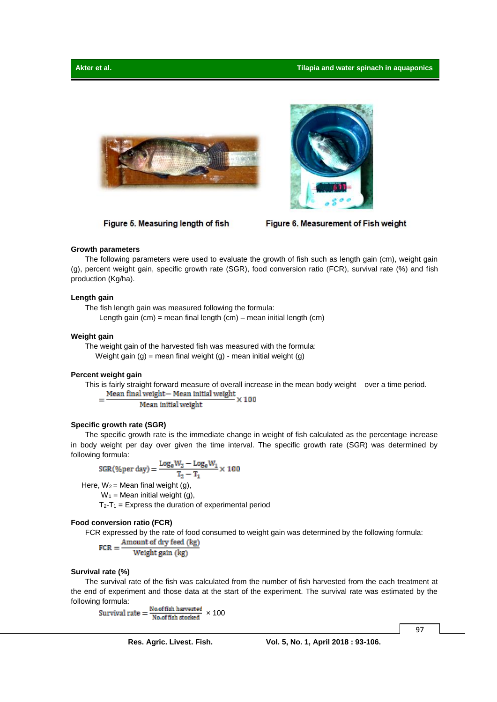

Figure 5. Measuring length of fish



Figure 6. Measurement of Fish weight

#### **Growth parameters**

The following parameters were used to evaluate the growth of fish such as length gain (cm), weight gain (g), percent weight gain, specific growth rate (SGR), food conversion ratio (FCR), survival rate (%) and fish production (Kg/ha).

#### **Length gain**

The fish length gain was measured following the formula:

Length gain  $(cm)$  = mean final length  $(cm)$  – mean initial length  $(cm)$ 

#### **Weight gain**

The weight gain of the harvested fish was measured with the formula: Weight gain  $(g)$  = mean final weight  $(g)$  - mean initial weight  $(g)$ 

#### **Percent weight gain**

This is fairly straight forward measure of overall increase in the mean body weight over a time period.<br>=  $\frac{\text{Mean final weight} - \text{Mean initial weight}}{2 \times 100} \times 100$ 

Mean initial weight

#### **Specific growth rate (SGR)**

The specific growth rate is the immediate change in weight of fish calculated as the percentage increase in body weight per day over given the time interval. The specific growth rate (SGR) was determined by following formula:

$$
SGR(\%per \, day) = \frac{Log_e W_2 - Log_e W_1}{T_2 - T_1} \times 100
$$

Here,  $W_2$  = Mean final weight (g),

 $W_1$  = Mean initial weight (g),

 $T_2-T_1$  = Express the duration of experimental period

#### **Food conversion ratio (FCR)**

FCR expressed by the rate of food consumed to weight gain was determined by the following formula:<br>  $FCR = \frac{Amount of dry feed (kg)}{Weight gain (kg)}$ 

#### **Survival rate (%)**

The survival rate of the fish was calculated from the number of fish harvested from the each treatment at the end of experiment and those data at the start of the experiment. The survival rate was estimated by the following formula:

Survival rate  $=\frac{Nooffish\text{ have set}}{Nooffish\text{ stocked}} \times 100$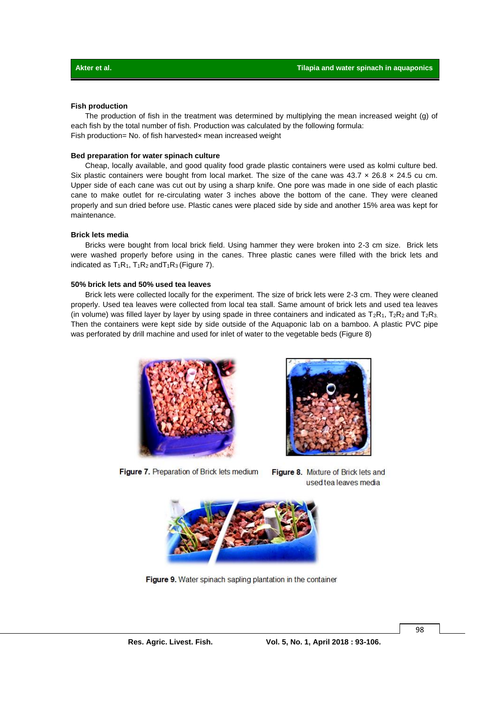#### **Fish production**

The production of fish in the treatment was determined by multiplying the mean increased weight (g) of each fish by the total number of fish. Production was calculated by the following formula: Fish production= No. of fish harvested× mean increased weight

#### **Bed preparation for water spinach culture**

Cheap, locally available, and good quality food grade plastic containers were used as kolmi culture bed. Six plastic containers were bought from local market. The size of the cane was  $43.7 \times 26.8 \times 24.5$  cu cm. Upper side of each cane was cut out by using a sharp knife. One pore was made in one side of each plastic cane to make outlet for re-circulating water 3 inches above the bottom of the cane. They were cleaned properly and sun dried before use. Plastic canes were placed side by side and another 15% area was kept for maintenance.

#### **Brick lets media**

Bricks were bought from local brick field. Using hammer they were broken into 2-3 cm size. Brick lets were washed properly before using in the canes. Three plastic canes were filled with the brick lets and indicated as  $T_1R_1$ ,  $T_1R_2$  and  $T_1R_3$  (Figure 7).

#### **50% brick lets and 50% used tea leaves**

Brick lets were collected locally for the experiment. The size of brick lets were 2-3 cm. They were cleaned properly. Used tea leaves were collected from local tea stall. Same amount of brick lets and used tea leaves (in volume) was filled layer by layer by using spade in three containers and indicated as  $T_2R_1$ ,  $T_2R_2$  and  $T_2R_3$ . Then the containers were kept side by side outside of the Aquaponic lab on a bamboo. A plastic PVC pipe was perforated by drill machine and used for inlet of water to the vegetable beds (Figure 8)



Figure 7. Preparation of Brick lets medium

Figure 8. Mixture of Brick lets and used tea leaves media



Figure 9. Water spinach sapling plantation in the container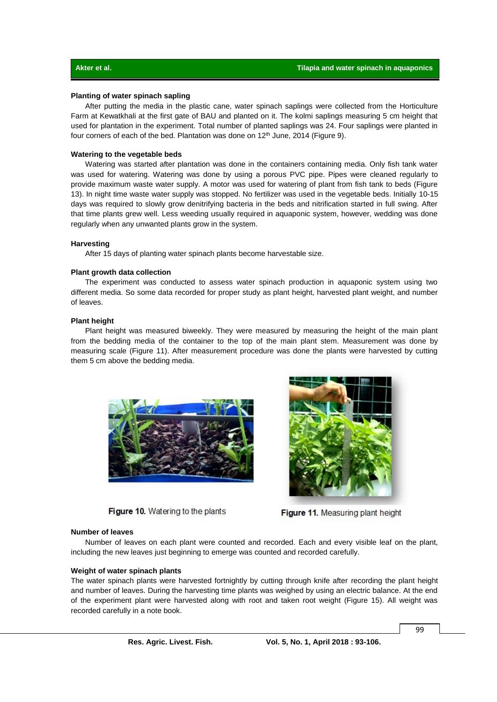#### **Planting of water spinach sapling**

After putting the media in the plastic cane, water spinach saplings were collected from the Horticulture Farm at Kewatkhali at the first gate of BAU and planted on it. The kolmi saplings measuring 5 cm height that used for plantation in the experiment. Total number of planted saplings was 24. Four saplings were planted in four corners of each of the bed. Plantation was done on  $12<sup>th</sup>$  June, 2014 (Figure 9).

#### **Watering to the vegetable beds**

Watering was started after plantation was done in the containers containing media. Only fish tank water was used for watering. Watering was done by using a porous PVC pipe. Pipes were cleaned regularly to provide maximum waste water supply. A motor was used for watering of plant from fish tank to beds (Figure 13). In night time waste water supply was stopped. No fertilizer was used in the vegetable beds. Initially 10-15 days was required to slowly grow denitrifying bacteria in the beds and nitrification started in full swing. After that time plants grew well. Less weeding usually required in aquaponic system, however, wedding was done regularly when any unwanted plants grow in the system.

#### **Harvesting**

After 15 days of planting water spinach plants become harvestable size.

#### **Plant growth data collection**

The experiment was conducted to assess water spinach production in aquaponic system using two different media. So some data recorded for proper study as plant height, harvested plant weight, and number of leaves.

#### **Plant height**

Plant height was measured biweekly. They were measured by measuring the height of the main plant from the bedding media of the container to the top of the main plant stem. Measurement was done by measuring scale (Figure 11). After measurement procedure was done the plants were harvested by cutting them 5 cm above the bedding media.



Figure 10. Watering to the plants



Figure 11. Measuring plant height

#### **Number of leaves**

Number of leaves on each plant were counted and recorded. Each and every visible leaf on the plant, including the new leaves just beginning to emerge was counted and recorded carefully.

#### **Weight of water spinach plants**

The water spinach plants were harvested fortnightly by cutting through knife after recording the plant height and number of leaves. During the harvesting time plants was weighed by using an electric balance. At the end of the experiment plant were harvested along with root and taken root weight (Figure 15). All weight was recorded carefully in a note book.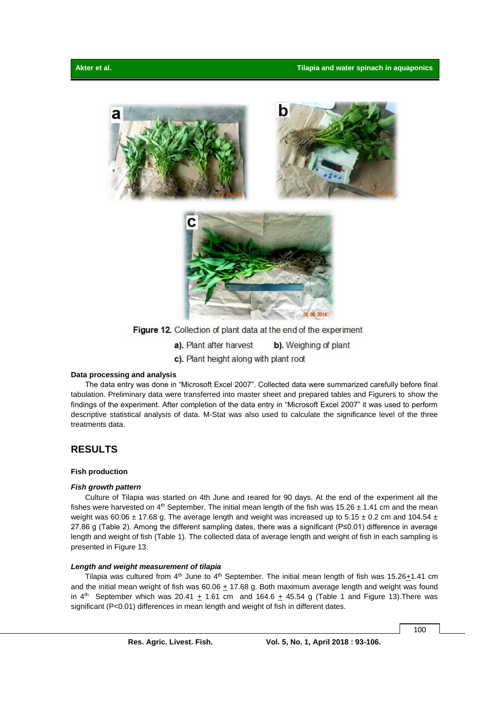



Figure 12. Collection of plant data at the end of the experiment

a). Plant after harvest b). Weighing of plant c). Plant height along with plant root

#### **Data processing and analysis**

The data entry was done in "Microsoft Excel 2007". Collected data were summarized carefully before final tabulation. Preliminary data were transferred into master sheet and prepared tables and Figurers to show the findings of the experiment. After completion of the data entry in "Microsoft Excel 2007" it was used to perform descriptive statistical analysis of data. M-Stat was also used to calculate the significance level of the three treatments data.

## **RESULTS**

#### **Fish production**

#### *Fish growth pattern*

Culture of Tilapia was started on 4th June and reared for 90 days. At the end of the experiment all the fishes were harvested on  $4<sup>th</sup>$  September. The initial mean length of the fish was  $15.26 \pm 1.41$  cm and the mean weight was 60.06  $\pm$  17.68 g. The average length and weight was increased up to 5.15  $\pm$  0.2 cm and 104.54  $\pm$ 27.86 g (Table 2). Among the different sampling dates, there was a significant (P≤0.01) difference in average length and weight of fish (Table 1). The collected data of average length and weight of fish in each sampling is presented in Figure 13.

#### *Length and weight measurement of tilapia*

Tilapia was cultured from  $4<sup>th</sup>$  June to  $4<sup>th</sup>$  September. The initial mean length of fish was 15.26 $\pm$ 1.41 cm and the initial mean weight of fish was  $60.06 + 17.68$  g. Both maximum average length and weight was found in  $4^{\text{th}}$  September which was 20.41  $\pm$  1.61 cm and 164.6  $\pm$  45.54 g (Table 1 and Figure 13). There was significant (P<0.01) differences in mean length and weight of fish in different dates.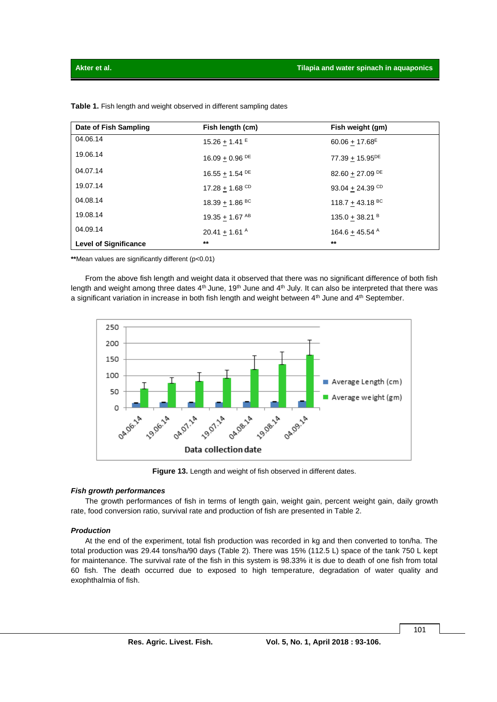| Date of Fish Sampling        | Fish length (cm)               | Fish weight (gm)                |
|------------------------------|--------------------------------|---------------------------------|
| 04.06.14                     | $15.26 + 1.41$ <sup>E</sup>    | $60.06 + 17.68$ <sup>E</sup>    |
| 19.06.14                     | $16.09 + 0.96$ <sup>DE</sup>   | $77.39 + 15.95^{DE}$            |
| 04.07.14                     | 16.55 $\pm$ 1.54 <sup>DE</sup> | 82.60 $\pm$ 27.09 <sup>DE</sup> |
| 19.07.14                     | 17.28 $\pm$ 1.68 <sup>CD</sup> | 93.04 $\pm$ 24.39 <sup>CD</sup> |
| 04.08.14                     | $18.39 + 1.86$ <sup>BC</sup>   | $118.7 + 43.18$ BC              |
| 19.08.14                     | 19.35 $\pm$ 1.67 <sup>AB</sup> | 135.0 $\pm$ 38.21 <sup>B</sup>  |
| 04.09.14                     | 20.41 $\pm$ 1.61 <sup>A</sup>  | $164.6 + 45.54$ <sup>A</sup>    |
| <b>Level of Significance</b> | $**$                           | $**$                            |

**Table 1.** Fish length and weight observed in different sampling dates

**\*\***Mean values are significantly different (p<0.01)

From the above fish length and weight data it observed that there was no significant difference of both fish length and weight among three dates  $4<sup>th</sup>$  June, 19<sup>th</sup> June and  $4<sup>th</sup>$  July. It can also be interpreted that there was a significant variation in increase in both fish length and weight between  $4<sup>th</sup>$  June and  $4<sup>th</sup>$  September.



**Figure 13.** Length and weight of fish observed in different dates.

#### *Fish growth performances*

The growth performances of fish in terms of length gain, weight gain, percent weight gain, daily growth rate, food conversion ratio, survival rate and production of fish are presented in Table 2.

#### *Production*

At the end of the experiment, total fish production was recorded in kg and then converted to ton/ha. The total production was 29.44 tons/ha/90 days (Table 2). There was 15% (112.5 L) space of the tank 750 L kept for maintenance. The survival rate of the fish in this system is 98.33% it is due to death of one fish from total 60 fish. The death occurred due to exposed to high temperature, degradation of water quality and exophthalmia of fish.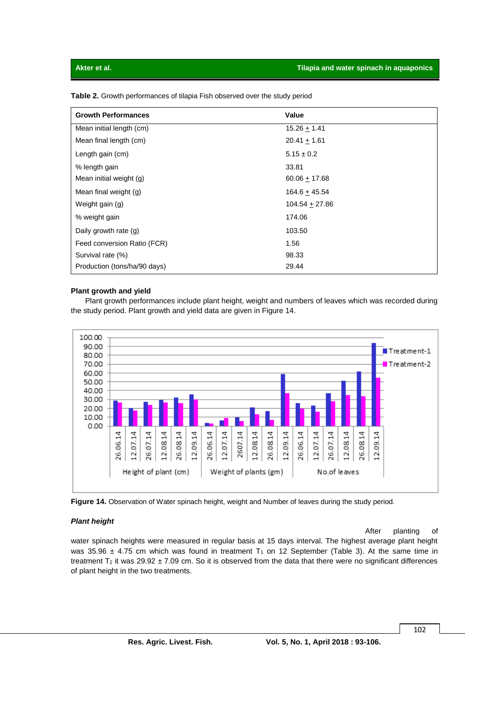| <b>Growth Performances</b>   | Value            |
|------------------------------|------------------|
| Mean initial length (cm)     | $15.26 + 1.41$   |
| Mean final length (cm)       | $20.41 + 1.61$   |
| Length gain (cm)             | $5.15 \pm 0.2$   |
| % length gain                | 33.81            |
| Mean initial weight (g)      | $60.06 + 17.68$  |
| Mean final weight (g)        | $164.6 + 45.54$  |
| Weight gain (g)              | $104.54 + 27.86$ |
| % weight gain                | 174.06           |
| Daily growth rate (g)        | 103.50           |
| Feed conversion Ratio (FCR)  | 1.56             |
| Survival rate (%)            | 98.33            |
| Production (tons/ha/90 days) | 29.44            |

**Table 2.** Growth performances of tilapia Fish observed over the study period

#### **Plant growth and yield**

Plant growth performances include plant height, weight and numbers of leaves which was recorded during the study period. Plant growth and yield data are given in Figure 14.





#### *Plant height*

After planting of water spinach heights were measured in regular basis at 15 days interval. The highest average plant height was 35.96  $\pm$  4.75 cm which was found in treatment T<sub>1</sub> on 12 September (Table 3). At the same time in treatment  $T_2$  it was 29.92  $\pm$  7.09 cm. So it is observed from the data that there were no significant differences of plant height in the two treatments.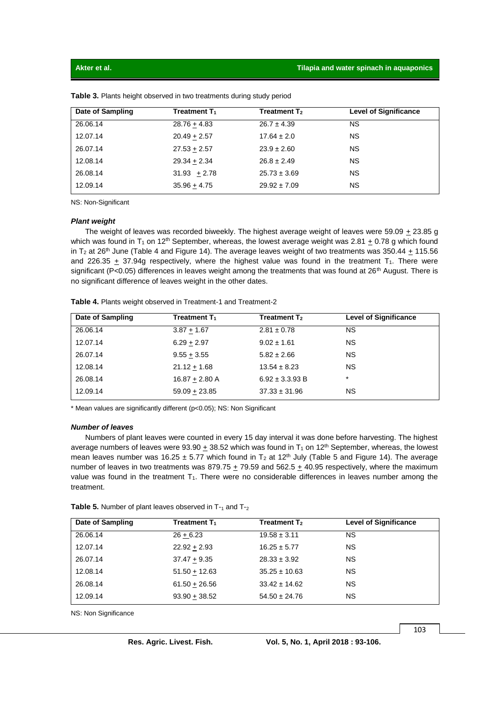| Date of Sampling | <b>Treatment T<sub>1</sub></b> | Treatment $\mathsf{T}_{2}$ | <b>Level of Significance</b> |
|------------------|--------------------------------|----------------------------|------------------------------|
| 26.06.14         | $28.76 + 4.83$                 | $26.7 \pm 4.39$            | <b>NS</b>                    |
| 12.07.14         | $20.49 + 2.57$                 | $17.64 \pm 2.0$            | <b>NS</b>                    |
| 26.07.14         | $27.53 + 2.57$                 | $23.9 \pm 2.60$            | <b>NS</b>                    |
| 12.08.14         | $29.34 + 2.34$                 | $26.8 \pm 2.49$            | <b>NS</b>                    |
| 26.08.14         | $31.93 + 2.78$                 | $25.73 \pm 3.69$           | <b>NS</b>                    |
| 12.09.14         | $35.96 + 4.75$                 | $29.92 \pm 7.09$           | ΝS                           |

**Table 3.** Plants height observed in two treatments during study period

NS: Non-Significant

#### *Plant weight*

The weight of leaves was recorded biweekly. The highest average weight of leaves were 59.09 + 23.85 g which was found in T<sub>1</sub> on 12<sup>th</sup> September, whereas, the lowest average weight was 2.81  $\pm$  0.78 g which found in T<sub>2</sub> at 26<sup>th</sup> June (Table 4 and Figure 14). The average leaves weight of two treatments was 350.44 + 115.56 and 226.35  $\pm$  37.94g respectively, where the highest value was found in the treatment T<sub>1</sub>. There were significant (P<0.05) differences in leaves weight among the treatments that was found at  $26<sup>th</sup>$  August. There is no significant difference of leaves weight in the other dates.

| Date of Sampling | Treatment $T_1$  | <b>Treatment T<sub>2</sub></b> | <b>Level of Significance</b> |
|------------------|------------------|--------------------------------|------------------------------|
| 26.06.14         | $3.87 + 1.67$    | $2.81 \pm 0.78$                | <b>NS</b>                    |
| 12.07.14         | $6.29 + 2.97$    | $9.02 \pm 1.61$                | <b>NS</b>                    |
| 26.07.14         | $9.55 + 3.55$    | $5.82 \pm 2.66$                | <b>NS</b>                    |
| 12.08.14         | $21.12 + 1.68$   | $13.54 \pm 8.23$               | <b>NS</b>                    |
| 26.08.14         | $16.87 + 2.80$ A | $6.92 \pm 3.3.93 B$            | $\star$                      |
| 12.09.14         | $59.09 + 23.85$  | $37.33 \pm 31.96$              | ΝS                           |

**Table 4.** Plants weight observed in Treatment-1 and Treatment-2

\* Mean values are significantly different (p<0.05); NS: Non Significant

#### *Number of leaves*

Numbers of plant leaves were counted in every 15 day interval it was done before harvesting. The highest average numbers of leaves were 93.90  $\pm$  38.52 which was found in T<sub>1</sub> on 12<sup>th</sup> September, whereas, the lowest mean leaves number was 16.25  $\pm$  5.77 which found in T<sub>2</sub> at 12<sup>th</sup> July (Table 5 and Figure 14). The average number of leaves in two treatments was 879.75  $\pm$  79.59 and 562.5  $\pm$  40.95 respectively, where the maximum value was found in the treatment  $T_1$ . There were no considerable differences in leaves number among the treatment.

| <b>Table 5.</b> Number of plant leaves observed in $T_{-1}$ and $T_{-2}$ |  |  |  |
|--------------------------------------------------------------------------|--|--|--|
|--------------------------------------------------------------------------|--|--|--|

| Date of Sampling | Treatment T <sub>1</sub> | Treatment T <sub>2</sub> | <b>Level of Significance</b> |
|------------------|--------------------------|--------------------------|------------------------------|
| 26.06.14         | $26 + 6.23$              | $19.58 \pm 3.11$         | <b>NS</b>                    |
| 12.07.14         | $22.92 + 2.93$           | $16.25 \pm 5.77$         | <b>NS</b>                    |
| 26.07.14         | $37.47 + 9.35$           | $28.33 \pm 3.92$         | <b>NS</b>                    |
| 12.08.14         | $51.50 + 12.63$          | $35.25 \pm 10.63$        | ΝS                           |
| 26.08.14         | $61.50 + 26.56$          | $33.42 \pm 14.62$        | ΝS                           |
| 12.09.14         | $93.90 + 38.52$          | $54.50 \pm 24.76$        | <b>NS</b>                    |

NS: Non Significance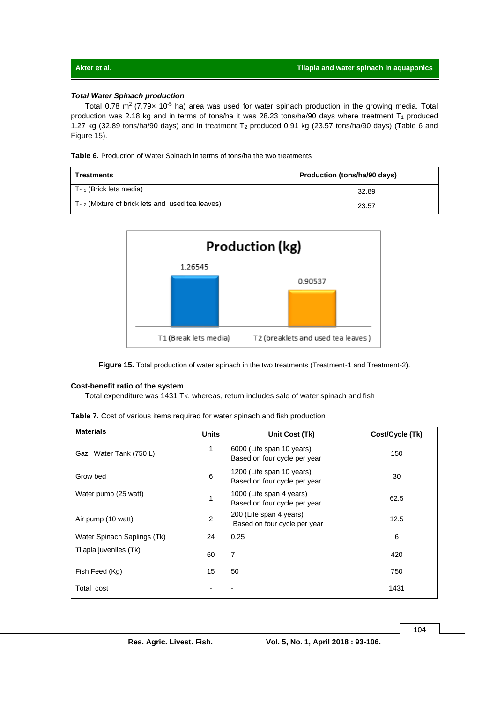### *Total Water Spinach production*

Total 0.78 m<sup>2</sup> (7.79x 10<sup>-5</sup> ha) area was used for water spinach production in the growing media. Total production was 2.18 kg and in terms of tons/ha it was 28.23 tons/ha/90 days where treatment  $T_1$  produced 1.27 kg (32.89 tons/ha/90 days) and in treatment  $T_2$  produced 0.91 kg (23.57 tons/ha/90 days) (Table 6 and Figure 15).

**Table 6.** Production of Water Spinach in terms of tons/ha the two treatments

| Treatments                                                 | Production (tons/ha/90 days) |
|------------------------------------------------------------|------------------------------|
| $T - 1$ (Brick lets media)                                 | 32.89                        |
| $T_{\text{B}}$ (Mixture of brick lets and used tea leaves) | 23.57                        |



Figure 15. Total production of water spinach in the two treatments (Treatment-1 and Treatment-2).

#### **Cost-benefit ratio of the system**

Total expenditure was 1431 Tk. whereas, return includes sale of water spinach and fish

| <b>Table 7.</b> Cost of various items required for water spinach and fish production |  |  |  |  |  |  |  |  |  |
|--------------------------------------------------------------------------------------|--|--|--|--|--|--|--|--|--|
|--------------------------------------------------------------------------------------|--|--|--|--|--|--|--|--|--|

| <b>Materials</b>            | <b>Units</b>   | Unit Cost (Tk)                                            | Cost/Cycle (Tk) |
|-----------------------------|----------------|-----------------------------------------------------------|-----------------|
| Gazi Water Tank (750 L)     | 1              | 6000 (Life span 10 years)<br>Based on four cycle per year | 150             |
| Grow bed                    | 6              | 1200 (Life span 10 years)<br>Based on four cycle per year | 30              |
| Water pump (25 watt)        | 1              | 1000 (Life span 4 years)<br>Based on four cycle per year  | 62.5            |
| Air pump (10 watt)          | $\overline{2}$ | 200 (Life span 4 years)<br>Based on four cycle per year   | 12.5            |
| Water Spinach Saplings (Tk) | 24             | 0.25                                                      | 6               |
| Tilapia juveniles (Tk)      | 60             | 7                                                         | 420             |
| Fish Feed (Kg)              | 15             | 50                                                        | 750             |
| Total cost                  |                |                                                           | 1431            |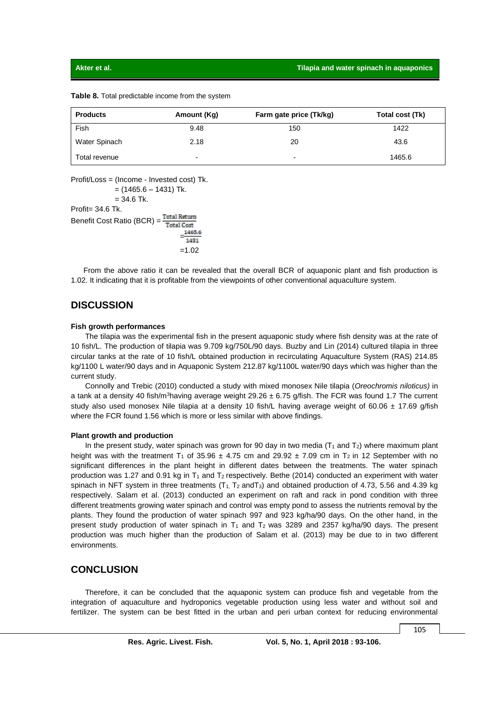| <b>Products</b> | Amount (Kg)              | Farm gate price (Tk/kg)  | Total cost (Tk) |
|-----------------|--------------------------|--------------------------|-----------------|
| Fish            | 9.48                     | 150                      | 1422            |
| Water Spinach   | 2.18                     | 20                       | 43.6            |
| Total revenue   | $\overline{\phantom{0}}$ | $\overline{\phantom{0}}$ | 1465.6          |

**Table 8.** Total predictable income from the system

Profit/Loss = (Income - Invested cost) Tk.

 $=$  (1465.6 – 1431) Tk.  $= 34.6$  Tk.  $Profit = 34.6$  Tk. Benefit Cost Ratio (BCR) = Total Return **Total Cost**  $=$ 1421 =1.02

 From the above ratio it can be revealed that the overall BCR of aquaponic plant and fish production is 1.02. It indicating that it is profitable from the viewpoints of other conventional aquaculture system.

## **DISCUSSION**

#### **Fish growth performances**

The tilapia was the experimental fish in the present aquaponic study where fish density was at the rate of 10 fish/L. The production of tilapia was 9.709 kg/750L/90 days. Buzby and Lin (2014) cultured tilapia in three circular tanks at the rate of 10 fish/L obtained production in recirculating Aquaculture System (RAS) 214.85 kg/1100 L water/90 days and in Aquaponic System 212.87 kg/1100L water/90 days which was higher than the current study.

Connolly and Trebic (2010) conducted a study with mixed monosex Nile tilapia (*Oreochromis niloticus)* in a tank at a density 40 fish/m<sup>3</sup>having average weight 29.26  $\pm$  6.75 g/fish. The FCR was found 1.7 The current study also used monosex Nile tilapia at a density 10 fish/L having average weight of 60.06  $\pm$  17.69 g/fish where the FCR found 1.56 which is more or less similar with above findings.

#### **Plant growth and production**

In the present study, water spinach was grown for 90 day in two media  $(T_1$  and  $T_2)$  where maximum plant height was with the treatment T<sub>1</sub> of 35.96  $\pm$  4.75 cm and 29.92  $\pm$  7.09 cm in T<sub>2</sub> in 12 September with no significant differences in the plant height in different dates between the treatments. The water spinach production was 1.27 and 0.91 kg in  $T_1$  and  $T_2$  respectively. Bethe (2014) conducted an experiment with water spinach in NFT system in three treatments  $(T_1, T_2 \text{ and } T_3)$  and obtained production of 4.73, 5.56 and 4.39 kg respectively. Salam et al. (2013) conducted an experiment on raft and rack in pond condition with three different treatments growing water spinach and control was empty pond to assess the nutrients removal by the plants. They found the production of water spinach 997 and 923 kg/ha/90 days. On the other hand, in the present study production of water spinach in  $T_1$  and  $T_2$  was 3289 and 2357 kg/ha/90 days. The present production was much higher than the production of Salam et al. (2013) may be due to in two different environments.

## **CONCLUSION**

Therefore, it can be concluded that the aquaponic system can produce fish and vegetable from the integration of aquaculture and hydroponics vegetable production using less water and without soil and fertilizer. The system can be best fitted in the urban and peri urban context for reducing environmental